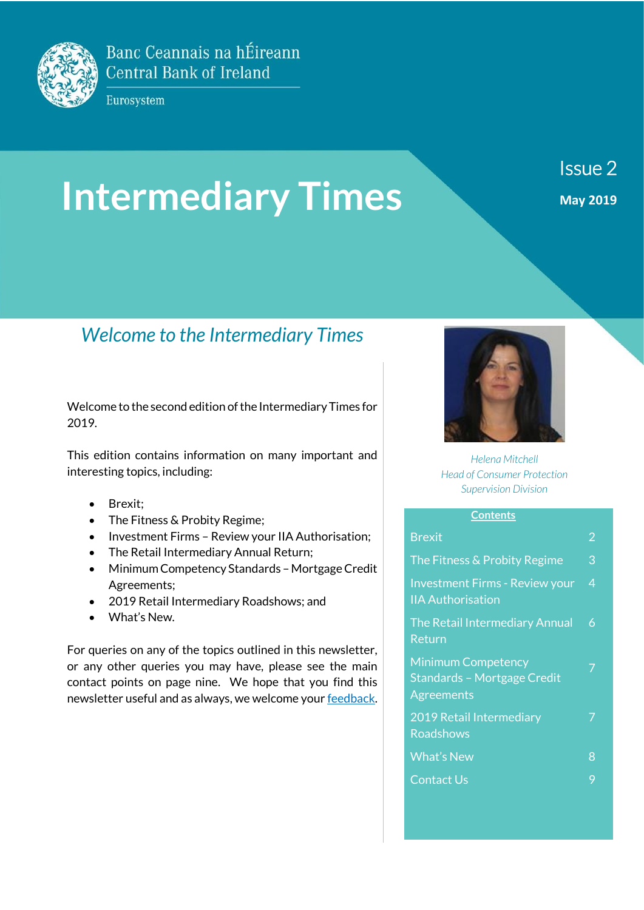

Banc Ceannais na hÉireann **Central Bank of Ireland** 

Eurosystem

# **Intermediary Times**

Issue 2 **May 2019**

# *Welcome to the Intermediary Times*

Welcome to the second edition of the Intermediary Times for 2019.

This edition contains information on many important and interesting topics, including:

- Brexit:
- The Fitness & Probity Regime;
- Investment Firms Review your IIA Authorisation;
- The Retail Intermediary Annual Return;
- Minimum Competency Standards Mortgage Credit Agreements;
- 2019 Retail Intermediary Roadshows; and
- What's New.

For queries on any of the topics outlined in this newsletter, or any other queries you may have, please see the main contact points on page nine. We hope that you find this newsletter useful and as always, we welcome you[r feedback.](mailto:brokers@centralbank.ie) 



*Helena Mitchell Head of Consumer Protection Supervision Division*

#### **Contents**

| <b>Brexit</b>                                                                 | 2 |
|-------------------------------------------------------------------------------|---|
| The Fitness & Probity Regime                                                  | 3 |
| <b>Investment Firms - Review your</b><br><b>IIA Authorisation</b>             | 4 |
| The Retail Intermediary Annual<br>Return                                      | 6 |
| <b>Minimum Competency</b><br>Standards - Mortgage Credit<br><b>Agreements</b> |   |
| 2019 Retail Intermediary<br><b>Roadshows</b>                                  |   |
| <b>What's New</b>                                                             | 8 |
| Contact Us                                                                    | 9 |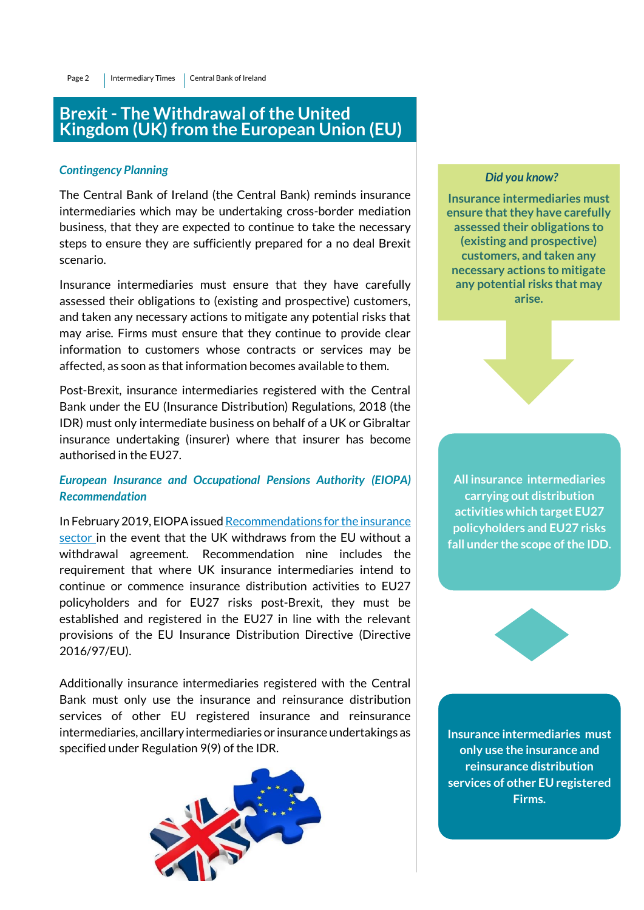### **Brexit - The Withdrawal of the United Kingdom (UK) from the European Union (EU)**

#### *Contingency Planning*

The Central Bank of Ireland (the Central Bank) reminds insurance intermediaries which may be undertaking cross-border mediation business, that they are expected to continue to take the necessary steps to ensure they are sufficiently prepared for a no deal Brexit scenario.

Insurance intermediaries must ensure that they have carefully assessed their obligations to (existing and prospective) customers, and taken any necessary actions to mitigate any potential risks that may arise. Firms must ensure that they continue to provide clear information to customers whose contracts or services may be affected, as soon as that information becomes available to them.

Post-Brexit, insurance intermediaries registered with the Central Bank under the EU (Insurance Distribution) Regulations, 2018 (the IDR) must only intermediate business on behalf of a UK or Gibraltar insurance undertaking (insurer) where that insurer has become authorised in the EU27.

#### *European Insurance and Occupational Pensions Authority (EIOPA) Recommendation*

In February 2019, EIOPA issue[d Recommendations for the insurance](https://eiopa.europa.eu/Publications/Standards/EIOPA-BoS-19-040_Recommendation_Brexit_final.pdf)  [sector i](https://eiopa.europa.eu/Publications/Standards/EIOPA-BoS-19-040_Recommendation_Brexit_final.pdf)n the event that the UK withdraws from the EU without a withdrawal agreement. Recommendation nine includes the requirement that where UK insurance intermediaries intend to continue or commence insurance distribution activities to EU27 policyholders and for EU27 risks post-Brexit, they must be established and registered in the EU27 in line with the relevant provisions of the EU Insurance Distribution Directive (Directive 2016/97/EU).

Additionally insurance intermediaries registered with the Central Bank must only use the insurance and reinsurance distribution services of other EU registered insurance and reinsurance intermediaries, ancillary intermediaries or insurance undertakings as specified under Regulation 9(9) of the IDR.



#### *Did you know?*

**Insurance intermediaries must ensure that they have carefully assessed their obligations to (existing and prospective) customers, and taken any necessary actions to mitigate any potential risks that may arise.** 



**All insurance intermediaries carrying out distribution activities which target EU27 policyholders and EU27 risks fall under the scope of the IDD.**



**Insurance intermediaries must only use the insurance and reinsurance distribution services of other EU registered Firms.**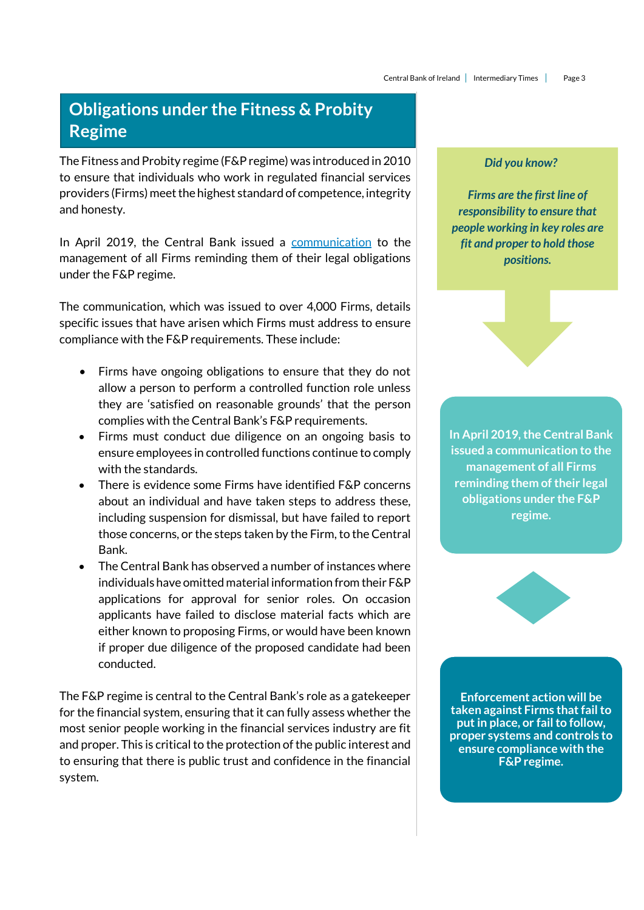## **Obligations under the Fitness & Probity Regime**

The Fitness and Probity regime (F&P regime) was introduced in 2010 to ensure that individuals who work in regulated financial services providers (Firms) meet the highest standard of competence, integrity and honesty.

In April 2019, the Central Bank issued a [communication](https://www.centralbank.ie/docs/default-source/news-and-media/press-releases/190408-dear-ceo-letter-fandp.pdf) to the management of all Firms reminding them of their legal obligations under the F&P regime.

The communication, which was issued to over 4,000 Firms, details specific issues that have arisen which Firms must address to ensure compliance with the F&P requirements. These include:

- Firms have ongoing obligations to ensure that they do not allow a person to perform a controlled function role unless they are 'satisfied on reasonable grounds' that the person complies with the Central Bank's F&P requirements.
- Firms must conduct due diligence on an ongoing basis to ensure employees in controlled functions continue to comply with the standards.
- There is evidence some Firms have identified F&P concerns about an individual and have taken steps to address these, including suspension for dismissal, but have failed to report those concerns, or the steps taken by the Firm, to the Central Bank.
- The Central Bank has observed a number of instances where individuals have omitted material information from their F&P applications for approval for senior roles. On occasion applicants have failed to disclose material facts which are either known to proposing Firms, or would have been known if proper due diligence of the proposed candidate had been conducted.

The F&P regime is central to the Central Bank's role as a gatekeeper for the financial system, ensuring that it can fully assess whether the most senior people working in the financial services industry are fit and proper. This is critical to the protection of the public interest and to ensuring that there is public trust and confidence in the financial system.

#### *Did you know?*

*Firms are the first line of responsibility to ensure that people working in key roles are fit and proper to hold those positions.*

**In April 2019, the Central Bank issued a communication to the management of all Firms reminding them of their legal obligations under the F&P regime.**



**Enforcement action will be taken against Firms that fail to put in place, or fail to follow, proper systems and controls to ensure compliance with the F&P regime.**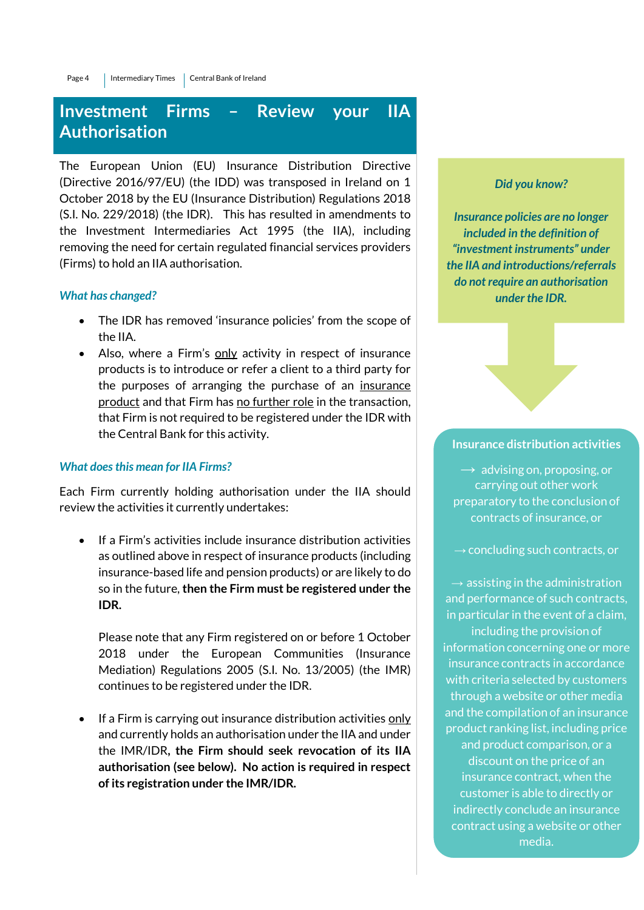## **Investment Firms – Review your IIA Authorisation**

The European Union (EU) Insurance Distribution Directive (Directive 2016/97/EU) (the IDD) was transposed in Ireland on 1 October 2018 by the EU (Insurance Distribution) Regulations 2018 (S.I. No. 229/2018) (the IDR). This has resulted in amendments to the Investment Intermediaries Act 1995 (the IIA), including removing the need for certain regulated financial services providers (Firms) to hold an IIA authorisation.

#### *What has changed?*

- The IDR has removed 'insurance policies' from the scope of the IIA.
- Also, where a Firm's only activity in respect of insurance products is to introduce or refer a client to a third party for the purposes of arranging the purchase of an insurance product and that Firm has no further role in the transaction, that Firm is not required to be registered under the IDR with the Central Bank for this activity.

#### *What does this mean for IIA Firms?*

Each Firm currently holding authorisation under the IIA should review the activities it currently undertakes:

 If a Firm's activities include insurance distribution activities as outlined above in respect of insurance products (including insurance-based life and pension products) or are likely to do so in the future, **then the Firm must be registered under the IDR.**

Please note that any Firm registered on or before 1 October 2018 under the European Communities (Insurance Mediation) Regulations 2005 (S.I. No. 13/2005) (the IMR) continues to be registered under the IDR.

• If a Firm is carrying out insurance distribution activities only and currently holds an authorisation under the IIA and under the IMR/IDR**, the Firm should seek revocation of its IIA authorisation (see below). No action is required in respect of its registration under the IMR/IDR.**

#### *Did you know?*

*Insurance policies are no longer included in the definition of "investment instruments" under the IIA and introductions/referrals do not require an authorisation under the IDR.*

#### **Insurance distribution activities**

 $\rightarrow$  advising on, proposing, or carrying out other work preparatory to the conclusion of contracts of insurance, or

 $\rightarrow$  concluding such contracts, or

 $\rightarrow$  assisting in the administration and performance of such contracts, in particular in the event of a claim, including the provision of information concerning one or more insurance contracts in accordance with criteria selected by customers through a website or other media and the compilation of an insurance product ranking list, including price and product comparison, or a discount on the price of an insurance contract, when the customer is able to directly or indirectly conclude an insurance contract using a website or other media.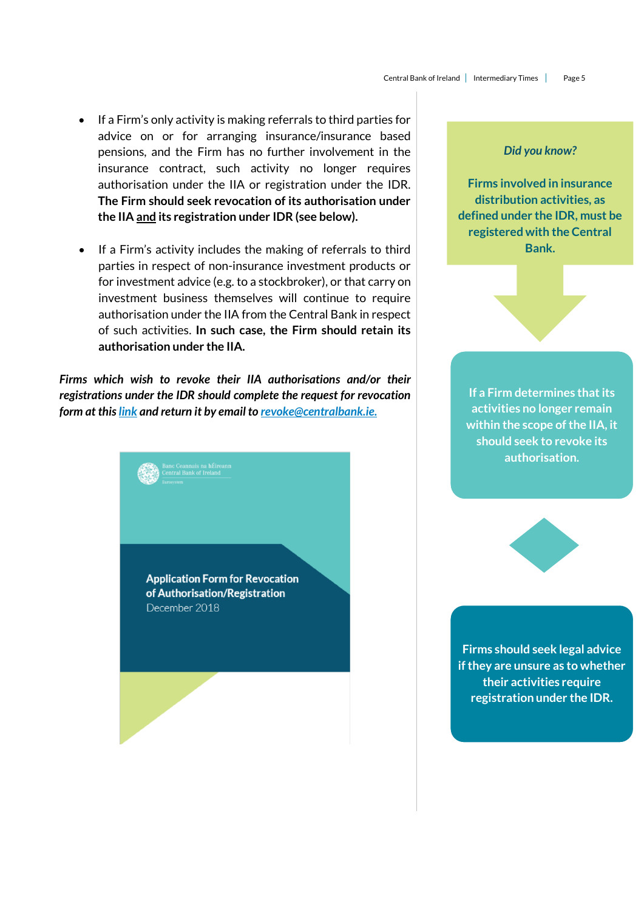- If a Firm's only activity is making referrals to third parties for advice on or for arranging insurance/insurance based pensions, and the Firm has no further involvement in the insurance contract, such activity no longer requires authorisation under the IIA or registration under the IDR. **The Firm should seek revocation of its authorisation under the IIA and its registration under IDR (see below).**
- If a Firm's activity includes the making of referrals to third parties in respect of non-insurance investment products or for investment advice (e.g. to a stockbroker), or that carry on investment business themselves will continue to require authorisation under the IIA from the Central Bank in respect of such activities. **In such case, the Firm should retain its authorisation under the IIA.**

*Firms which wish to revoke their IIA authorisations and/or their registrations under the IDR should complete the request for revocation form at this [link](https://www.centralbank.ie/regulation/industry-market-sectors/brokers-retail-intermediaries/revocations-process) and return it by email to [revoke@centralbank.ie.](mailto:revoke@centralbank.ie)*

> **Application Form for Revocation** of Authorisation/Registration December 2018

#### *Did you know?*

**Firms involved in insurance distribution activities, as defined under the IDR, must be registered with the Central Bank.** 

**If a Firm determines that its activities no longer remain within the scope of the IIA, it should seek to revoke its authorisation.** 



**Firms should seek legal advice if they are unsure as to whether their activities require registration under the IDR.**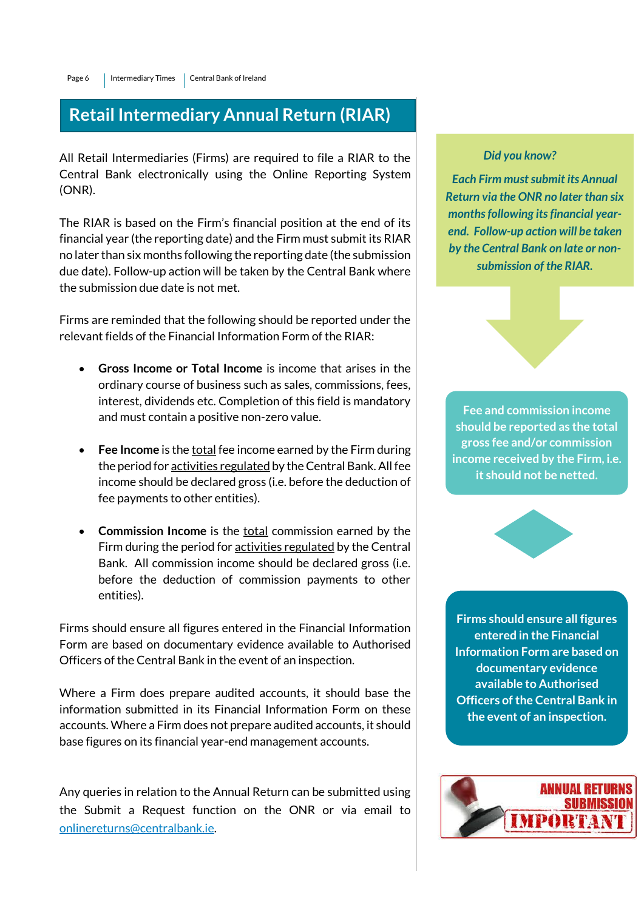## **Retail Intermediary Annual Return (RIAR)**

All Retail Intermediaries (Firms) are required to file a RIAR to the Central Bank electronically using the Online Reporting System (ONR).

The RIAR is based on the Firm's financial position at the end of its financial year (the reporting date) and the Firm must submit its RIAR no later than six months following the reporting date (the submission due date). Follow-up action will be taken by the Central Bank where the submission due date is not met.

Firms are reminded that the following should be reported under the relevant fields of the Financial Information Form of the RIAR:

- **Gross Income or Total Income** is income that arises in the ordinary course of business such as sales, commissions, fees, interest, dividends etc. Completion of this field is mandatory and must contain a positive non-zero value.
- **Fee Income** is the total fee income earned by the Firm during the period for activities regulated by the Central Bank. All fee income should be declared gross (i.e. before the deduction of fee payments to other entities).
- **Commission Income** is the total commission earned by the Firm during the period for activities regulated by the Central Bank. All commission income should be declared gross (i.e. before the deduction of commission payments to other entities).

Firms should ensure all figures entered in the Financial Information Form are based on documentary evidence available to Authorised Officers of the Central Bank in the event of an inspection.

Where a Firm does prepare audited accounts, it should base the information submitted in its Financial Information Form on these accounts. Where a Firm does not prepare audited accounts, it should base figures on its financial year-end management accounts.

Any queries in relation to the Annual Return can be submitted using the Submit a Request function on the ONR or via email to [onlinereturns@centralbank.ie.](mailto:onlinereturns@centralbank.ie)

#### *Did you know?*

*Each Firm must submit its Annual Return via the ONR no later than six months following its financial yearend. Follow-up action will be taken by the Central Bank on late or nonsubmission of the RIAR.* 

**Fee and commission income should be reported as the total gross fee and/or commission income received by the Firm, i.e. it should not be netted.**



**Firms should ensure all figures entered in the Financial Information Form are based on documentary evidence available to Authorised Officers of the Central Bank in the event of an inspection.** 

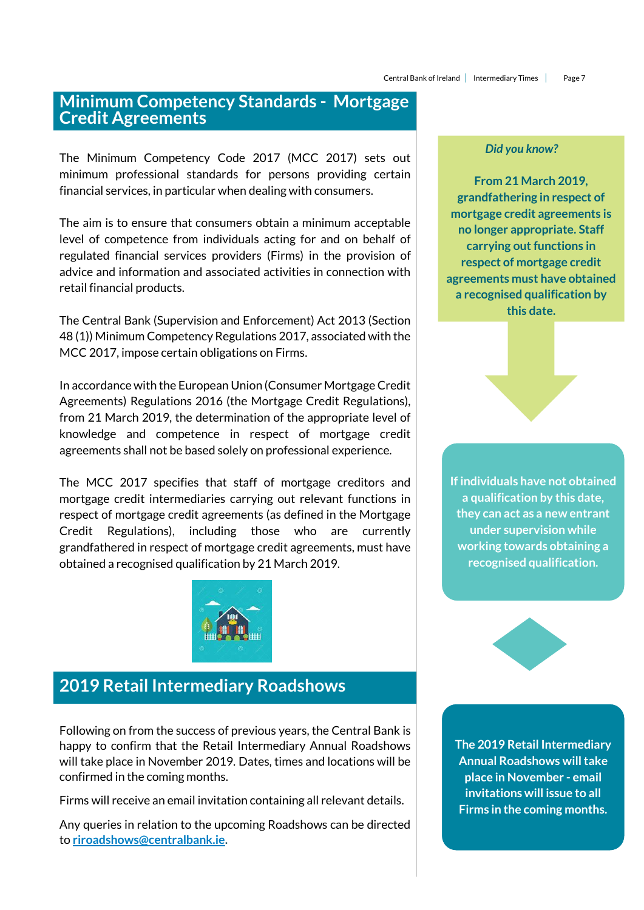## **Minimum Competency Standards - Mortgage Credit Agreements**

The Minimum Competency Code 2017 (MCC 2017) sets out minimum professional standards for persons providing certain financial services, in particular when dealing with consumers.

The aim is to ensure that consumers obtain a minimum acceptable level of competence from individuals acting for and on behalf of regulated financial services providers (Firms) in the provision of advice and information and associated activities in connection with retail financial products.

The Central Bank (Supervision and Enforcement) Act 2013 (Section 48 (1)) Minimum Competency Regulations 2017, associated with the MCC 2017, impose certain obligations on Firms.

In accordance with the European Union (Consumer Mortgage Credit Agreements) Regulations 2016 (the Mortgage Credit Regulations), from 21 March 2019, the determination of the appropriate level of knowledge and competence in respect of mortgage credit agreements shall not be based solely on professional experience.

The MCC 2017 specifies that staff of mortgage creditors and mortgage credit intermediaries carrying out relevant functions in respect of mortgage credit agreements (as defined in the Mortgage Credit Regulations), including those who are currently grandfathered in respect of mortgage credit agreements, must have obtained a recognised qualification by 21 March 2019.



## **2019 Retail Intermediary Roadshows**

Following on from the success of previous years, the Central Bank is happy to confirm that the Retail Intermediary Annual Roadshows will take place in November 2019. Dates, times and locations will be confirmed in the coming months.

Firms will receive an email invitation containing all relevant details.

Any queries in relation to the upcoming Roadshows can be directed to **[riroadshows@centralbank.ie.](mailto:riroadshows@centralbank.ie)**

#### *Did you know?*

**From 21 March 2019, grandfathering in respect of mortgage credit agreements is no longer appropriate. Staff carrying out functions in respect of mortgage credit agreements must have obtained a recognised qualification by this date.**



**recognised qualification.**



**The 2019 Retail Intermediary Annual Roadshows will take place in November - email invitations will issue to all Firms in the coming months.**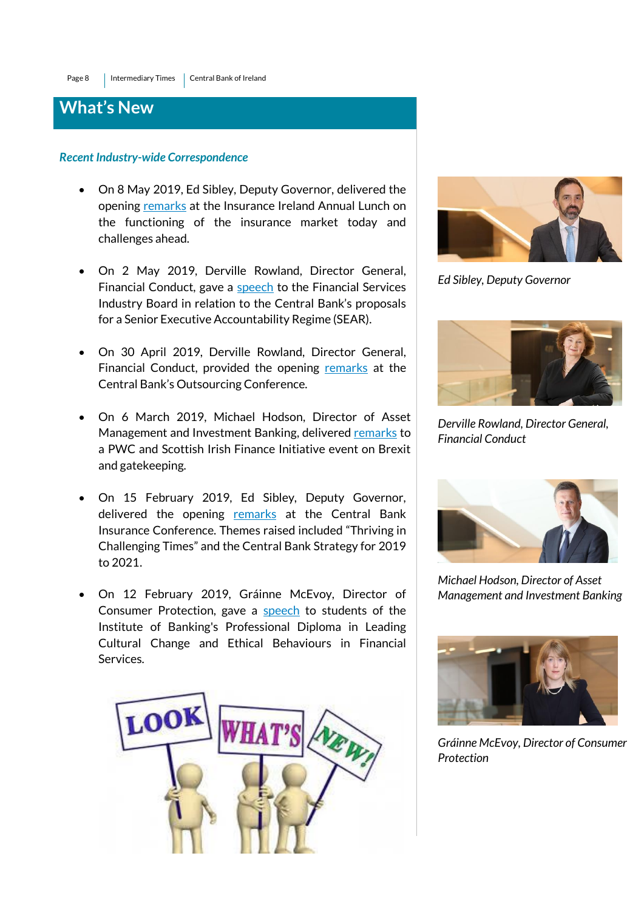## **What's New**

#### *Recent Industry-wide Correspondence*

- On 8 May 2019, Ed Sibley, Deputy Governor, delivered the opening [remarks](https://centralbank.ie/news/article/improvements-are-required-for-insurance-firms-ed-sibley) at the Insurance Ireland Annual Lunch on the functioning of the insurance market today and challenges ahead.
- On 2 May 2019, Derville Rowland, Director General, Financial Conduct, gave a [speech](https://centralbank.ie/news/article/the-senior-executive-accountability-regime-the-central-bank-expectations) to the Financial Services Industry Board in relation to the Central Bank's proposals for a Senior Executive Accountability Regime (SEAR).
- On 30 April 2019, Derville Rowland, Director General, Financial Conduct, provided the opening [remarks](https://centralbank.ie/news/article/outsourcing-director-general-derville-rowland) at the Central Bank's Outsourcing Conference.
- On 6 March 2019, Michael Hodson, Director of Asset Management and Investment Banking, delivered [remarks](https://centralbank.ie/news/article/brexit-gatekeeping-and-the-changing-landscape---michael-hodson-director-of-asset-management-and-investment-banking) to a PWC and Scottish Irish Finance Initiative event on Brexit and gatekeeping.
- On 15 February 2019, Ed Sibley, Deputy Governor, delivered the opening [remarks](https://www.centralbank.ie/news/article/towards-a-more-resilient-insurance-industry-ed-sibley) at the Central Bank Insurance Conference. Themes raised included "Thriving in Challenging Times" and the Central Bank Strategy for 2019 to 2021.
- On 12 February 2019, Gráinne McEvoy, Director of Consumer Protection, gave a [speech](https://www.centralbank.ie/news/article/culture-ethics-in-financial-services---grainne-mcevoy-director-of-consumer-protection) to students of the Institute of Banking's Professional Diploma in Leading Cultural Change and Ethical Behaviours in Financial Services.





*Ed Sibley, Deputy Governor*



*Derville Rowland, Director General, Financial Conduct*



*Michael Hodson, Director of Asset Management and Investment Banking*



*Gráinne McEvoy, Director of Consumer Protection*